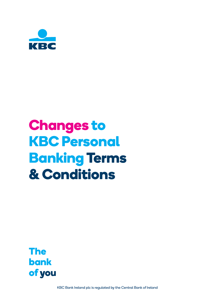

# **Changes to KBC Personal Banking Terms & Conditions**



KBC Bank Ireland plc is regulated by the Central Bank of Ireland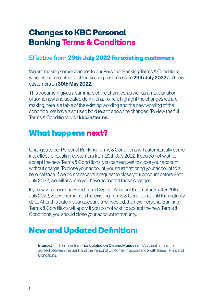# **Changes to KBC Personal Banking Terms & Conditions**

## Effective from **29th July 2022 for existing customers**

We are making some changes to our Personal Banking Terms & Conditions, which will come into effect for existing customers on 29th July 2022 and new customers on 30th May 2022.

This document gives a summary of the changes, as well as an explanation of some new and updated definitions. To help highlight the changes we are making, here is a table of the existing wording and the new wording of the condition. We have also used bold text to show the changes. To view the full Terms & Conditions, visit kbc.ie/terms.

# **What happens next?**

Changes to our Personal Banking Terms & Conditions will automatically come into effect for existing customers from 29th July 2022. If you do not wish to accept the new Terms & Conditions, you can request to close your account without charge. To close your account, you must first bring your account to a zero balance. If we do not receive a request to close your account before 29th July 2022, we will assume you have accepted these changes.

If you have an existing Fixed Term Deposit Account that matures after 29th July 2022, you will remain on the existing Terms & Conditions, until the maturity date. After this date, if your account is reinvested, the new Personal Banking Terms & Conditions will apply. If you do not wish to accept the new Terms & Conditions, you should close your account at maturity.

# **New and Updated Definition:**

Interest shall be the interest calculated on Cleared Funds in an Account at the rate agreed between the Bank and the Personal Customer in accordance with these Terms and **Conditions**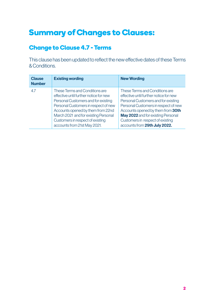# **Summary of Changes to Clauses:**

## **Change to Clause 4.7 - Terms**

This clause has been updated to reflect the new effective dates of these Terms & Conditions.

| <b>Clause</b><br><b>Number</b> | <b>Existing wording</b>                                                                                                                                                                                                                                                                                  | <b>New Wording</b>                                                                                                                                                                                                                                                                                      |
|--------------------------------|----------------------------------------------------------------------------------------------------------------------------------------------------------------------------------------------------------------------------------------------------------------------------------------------------------|---------------------------------------------------------------------------------------------------------------------------------------------------------------------------------------------------------------------------------------------------------------------------------------------------------|
| 4.7                            | These Terms and Conditions are<br>effective until further notice for new<br>Personal Customers and for existing<br>Personal Customers in respect of new<br>Accounts opened by them from 22nd<br>March 2021 and for existing Personal<br>Customers in respect of existing<br>accounts from 21st May 2021. | These Terms and Conditions are<br>effective until further notice for new<br>Personal Customers and for existing<br>Personal Customers in respect of new<br>Accounts opened by them from 30th<br>May 2022 and for existing Personal<br>Customers in respect of existing<br>accounts from 29th July 2022. |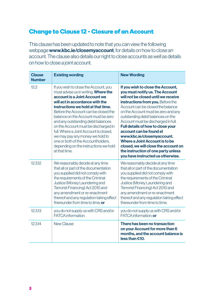# **Change to Clause 12 - Closure of an Account**

This clause has been updated to note that you can view the following webpage www.kbc.ie/closemyaccount, for details on how to close an account. The clause also details our right to close accounts as well as details on how to close a joint account.

| <b>Clause</b><br><b>Number</b> | <b>Existing wording</b>                                                                                                                                                                                                                                                                                                                                                                                                                                                                                                           | <b>New Wording</b>                                                                                                                                                                                                                                                                                                                                                                                                                                                                                                                                           |
|--------------------------------|-----------------------------------------------------------------------------------------------------------------------------------------------------------------------------------------------------------------------------------------------------------------------------------------------------------------------------------------------------------------------------------------------------------------------------------------------------------------------------------------------------------------------------------|--------------------------------------------------------------------------------------------------------------------------------------------------------------------------------------------------------------------------------------------------------------------------------------------------------------------------------------------------------------------------------------------------------------------------------------------------------------------------------------------------------------------------------------------------------------|
| 122                            | If you wish to close the Account, you<br>must advise us in writing. Where the<br>account is a Joint Account we<br>will act in accordance with the<br>instructions we hold at that time.<br>Before the Account can be closed the<br>balance on the Account must be zero<br>and any outstanding debit balances<br>on the Account must be discharged in<br>full. Where a Joint Account is closed.<br>we may pay any money we hold to<br>one or both of the Accountholders.<br>depending on the instructions we hold<br>at that time. | If you wish to close the Account,<br>you must notify us. The Account<br>will not be closed until we receive<br>instructions from you. Before the<br>Account can be closed the balance<br>on the Account must be zero and any<br>outstanding debit balances on the<br>Account must be discharged in full.<br>Full details of how to close your<br>account can be found at<br>www.kbc.ie/closemyaccount.<br>Where a Joint Account is to be<br>closed, we will close the account on<br>the instruction of one party unless<br>you have instructed us otherwise. |
| 12312                          | We reasonably decide at any time<br>that all or part of the documentation<br>you supplied did not comply with<br>the requirements of the Criminal<br>Justice (Money Laundering and<br>Terrorist Financing) Act 2010 and<br>any amendment or re-enactment<br>thereof and any regulation taking effect<br>thereunder from time to time: or                                                                                                                                                                                          | We reasonably decide at any time<br>that all or part of the documentation<br>you supplied did not comply with<br>the requirements of the Criminal<br>Justice (Money Laundering and<br>Terrorist Financing) Act 2010 and<br>any amendment or re-enactment<br>thereof and any regulation taking effect<br>thereunder from time to time:                                                                                                                                                                                                                        |
| 12.3.13                        | you do not supply us with CRS and/or<br><b>FATCA</b> information.                                                                                                                                                                                                                                                                                                                                                                                                                                                                 | you do not supply us with CRS and/or<br>FATCA information: or                                                                                                                                                                                                                                                                                                                                                                                                                                                                                                |
| 12.3.14                        | New Clause                                                                                                                                                                                                                                                                                                                                                                                                                                                                                                                        | There has been no transaction<br>on your Account for more than 6<br>months, and the account balance is<br>less than €10.                                                                                                                                                                                                                                                                                                                                                                                                                                     |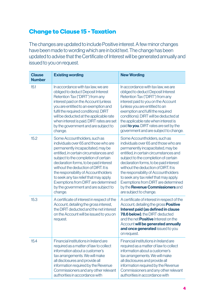## **Change to Clause 15 - Taxation**

The changes are updated to include Positive interest. A few minor changes have been made to wording which are in bold text. The change has been updated to advise that the Certificate of Interest will be generated annually and issued to you on request.

| <b>Clause</b><br><b>Number</b> | <b>Existing wording</b>                                                                                                                                                                                                                                                                                                                                                                                                                                    | <b>New Wording</b>                                                                                                                                                                                                                                                                                                                                                                                                                                                    |
|--------------------------------|------------------------------------------------------------------------------------------------------------------------------------------------------------------------------------------------------------------------------------------------------------------------------------------------------------------------------------------------------------------------------------------------------------------------------------------------------------|-----------------------------------------------------------------------------------------------------------------------------------------------------------------------------------------------------------------------------------------------------------------------------------------------------------------------------------------------------------------------------------------------------------------------------------------------------------------------|
| 15.1                           | In accordance with tax law, we are<br>obliged to deduct Deposit Interest<br>Retention Tax ("DIRT") from any<br>interest paid on the Account (unless<br>you are entitled to an exemption and<br>fulfil the required conditions). DIRT<br>will be deducted at the applicable rate<br>when interest is paid. DIRT rates are set<br>by the government and are subject to<br>change.                                                                            | In accordance with tax law, we are<br>obliged to deduct Deposit Interest<br>Retention Tax ("DIRT") from any<br>interest paid to you on the Account<br>(unless you are entitled to an<br>exemption and fulfil the required<br>conditions). DIRT will be deducted at<br>the applicable rate when interest is<br>paid to you. DIRT rates are set by the<br>government and are subject to change.                                                                         |
| 15.2                           | Some Accountholders, such as<br>individuals over 65 and those who are<br>permanently incapacitated, may be<br>entitled, in certain circumstances and<br>subject to the completion of certain<br>declaration forms, to be paid interest<br>without the deduction of DIRT. It is<br>the responsibility of Accountholders<br>to seek any tax relief that may apply.<br>Exemptions from DIRT are determined<br>by the government and are subject to<br>change. | Some Accountholders, such as<br>individuals over 65 and those who are<br>permanently incapacitated, may be<br>entitled, in certain circumstances and<br>subject to the completion of certain<br>declaration forms, to be paid interest<br>without the deduction of DIRT. It is<br>the responsibility of Accountholders<br>to seek any tax relief that may apply.<br>Exemptions from DIRT are determined<br>by the Revenue Commissioners and<br>are subject to change. |
| 15.3                           | A certificate of interest in respect of the<br>Account, detailing the gross interest,<br>the DIRT deducted and the net interest<br>on the Account will be issued to you on<br>request.                                                                                                                                                                                                                                                                     | A certificate of interest in respect of the<br>Account, detailing the gross <b>Positive</b><br>Interest paid (as defined in clause<br>78.6 below), the DIRT deducted<br>and the net <b>Positive</b> Interest on the<br>Account will be generated annually<br>and once generated issued to you<br>on request.                                                                                                                                                          |
| 15.4                           | Financial institutions in Ireland are<br>required as a matter of law to collect<br>information about a customer's<br>tax arrangements. We will make<br>all disclosures and provide all<br>information required by the Revenue<br>Commissioners and any other relevant<br>authorities in accordance with                                                                                                                                                    | Financial institutions in Ireland are<br>required as a matter of law to collect<br>information about a customer's<br>tax arrangements. We will make<br>all disclosures and provide all<br>information required by the Revenue<br>Commissioners and any other relevant<br>authorities in accordance with                                                                                                                                                               |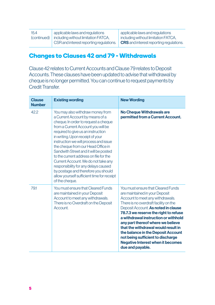| 15.4       |  |
|------------|--|
| (continued |  |

(continued) including without limitation FATCA, applicable laws and regulations CSR and interest reporting regulations. applicable laws and regulations including without limitation FATCA, CRS and interest reporting regulations.

#### **Changes to Clauses 42 and 79 - Withdrawals**

Clause 42 relates to Current Accounts and Clause 79 relates to Deposit Accounts. These clauses have been updated to advise that withdrawal by cheque is no longer permitted. You can continue to request payments by Credit Transfer.

| <b>Clause</b><br><b>Number</b> | <b>Existing wording</b>                                                                                                                                                                                                                                                                                                                                                                                                                                                                                                                                                             | <b>New Wording</b>                                                                                                                                                                                                                                                                                                                                                                                                                                                                               |
|--------------------------------|-------------------------------------------------------------------------------------------------------------------------------------------------------------------------------------------------------------------------------------------------------------------------------------------------------------------------------------------------------------------------------------------------------------------------------------------------------------------------------------------------------------------------------------------------------------------------------------|--------------------------------------------------------------------------------------------------------------------------------------------------------------------------------------------------------------------------------------------------------------------------------------------------------------------------------------------------------------------------------------------------------------------------------------------------------------------------------------------------|
| 42.2                           | You may also withdraw money from<br>a Current Account by means of a<br>cheque. In order to request a cheque<br>from a Current Account you will be<br>required to give us an instruction<br>in writing. Upon receipt of your<br>instruction we will process and issue<br>the cheque from our Head Office in<br>Sandwith Street and it will be posted<br>to the current address on file for the<br>Current Account. We do not take any<br>responsibility for any delays caused<br>by postage and therefore you should<br>allow yourself sufficient time for receipt<br>of the cheque. | <b>No Cheque Withdrawals are</b><br>permitted from a Current Account.                                                                                                                                                                                                                                                                                                                                                                                                                            |
| 79.1                           | You must ensure that Cleared Funds<br>are maintained in your Deposit<br>Account to meet any withdrawals.<br>There is no Overdraft on the Deposit<br>Account.                                                                                                                                                                                                                                                                                                                                                                                                                        | You must ensure that Cleared Funds<br>are maintained in your Deposit<br>Account to meet any withdrawals.<br>There is no overdraft facility on the<br>Deposit Account. As noted in clause<br>78.7.3 we reserve the right to refuse<br>a withdrawal instruction or withhold<br>any part thereof where we believe<br>that the withdrawal would result in<br>the balance in the Deposit Account<br>not being sufficient to discharge<br><b>Negative Interest when it becomes</b><br>due and payable. |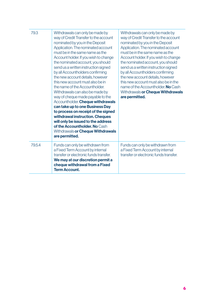| 79.3 | Withdrawals can only be made by<br>way of Credit Transfer to the account<br>nominated by you in the Deposit<br>Application. The nominated account<br>must be in the same name as the<br>Account holder. If you wish to change<br>the nominated account, you should<br>send us a written instruction signed<br>by all Accountholders confirming<br>the new account details, however<br>this new account must also be in<br>the name of the Accountholder.<br>Withdrawals can also be made by<br>way of cheque made payable to the<br>Accountholder. Cheque withdrawals<br>can take up to one Business Day<br>to process on receipt of the signed<br>withdrawal instruction. Cheques<br>will only be issued to the address<br>of the Accountholder. No Cash<br>Withdrawals or Cheque Withdrawals<br>are permitted. | Withdrawals can only be made by<br>way of Credit Transfer to the account<br>nominated by you in the Deposit<br>Application. The nominated account<br>must be in the same name as the<br>Account holder. If you wish to change<br>the nominated account, you should<br>send us a written instruction signed<br>by all Accountholders confirming<br>the new account details, however<br>this new account must also be in the<br>name of the Accountholder. No Cash<br>Withdrawals or Cheque Withdrawals<br>are permitted. |
|------|------------------------------------------------------------------------------------------------------------------------------------------------------------------------------------------------------------------------------------------------------------------------------------------------------------------------------------------------------------------------------------------------------------------------------------------------------------------------------------------------------------------------------------------------------------------------------------------------------------------------------------------------------------------------------------------------------------------------------------------------------------------------------------------------------------------|-------------------------------------------------------------------------------------------------------------------------------------------------------------------------------------------------------------------------------------------------------------------------------------------------------------------------------------------------------------------------------------------------------------------------------------------------------------------------------------------------------------------------|
| 7954 | Funds can only be withdrawn from<br>a Fixed Term Account by internal<br>transfer or electronic funds transfer.<br>We may at our discretion permit a<br>cheque withdrawal from a Fixed<br><b>Term Account.</b>                                                                                                                                                                                                                                                                                                                                                                                                                                                                                                                                                                                                    | Funds can only be withdrawn from<br>a Fixed Term Account by internal<br>transfer or electronic funds transfer.                                                                                                                                                                                                                                                                                                                                                                                                          |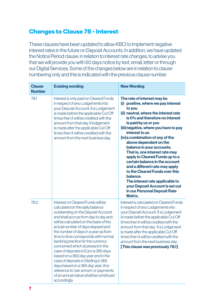#### **Changes to Clause 78 - Interest**

These clauses have been updated to allow KBCI to implement negative interest rates in the future on Deposit Accounts. In addition, we have updated the Notice Period clause, in relation to interest rate changes, to advise you that we will provide you with 60 days notice by text, email, letter or through our Digital Services. Some of the changes below are in relation to clause numbering only and this is indicated with the previous clause number.

| <b>Clause</b><br><b>Number</b> | <b>Existing wording</b>                                                                                                                                                                                                                                                                                                                                                                                                                                                                                                                                                                                                                                 | <b>New Wording</b>                                                                                                                                                                                                                                                                                                                                                                                                                                                                                                                                                                                                                            |
|--------------------------------|---------------------------------------------------------------------------------------------------------------------------------------------------------------------------------------------------------------------------------------------------------------------------------------------------------------------------------------------------------------------------------------------------------------------------------------------------------------------------------------------------------------------------------------------------------------------------------------------------------------------------------------------------------|-----------------------------------------------------------------------------------------------------------------------------------------------------------------------------------------------------------------------------------------------------------------------------------------------------------------------------------------------------------------------------------------------------------------------------------------------------------------------------------------------------------------------------------------------------------------------------------------------------------------------------------------------|
| 78.1                           | Interest is only paid on Cleared Funds<br>in respect of any Lodgements into<br>your Deposit Account. If a Lodgement<br>is made before the applicable Cut Off<br>times then it will be credited with the<br>amount from that day. If lodgement<br>is made after the applicable Cut Off<br>times then it will be credited with the<br>amount from the next business day.                                                                                                                                                                                                                                                                                  | The rate of interest may be<br>(i) positive, where we pay interest<br>to you<br>(ii) neutral, where the interest rate<br>is 0% and therefore no interest<br>is paid by us or you<br>(iii) negative, where you have to pay<br>interest to us<br>(iv) a combination of any of the<br>above dependant on the<br>balance in your accounts.<br>That is, one interest rate may<br>apply to Cleared Funds up to a<br>certain balance in the account<br>and a different rate may apply<br>to the Cleared Funds over this<br>balance.<br>The interest rate applicable to<br>your Deposit Account is set out<br>in our Personal Deposit Rate<br>Matrix. |
| 78.2                           | Interest on Cleared Funds will be<br>calculated on the daily balance<br>outstanding on the Deposit Account<br>and shall accrue from day to day and<br>will be calculated on the basis of the<br>actual number of days elapsed and<br>the number of days in a year as from<br>time to time corresponds with normal<br>banking practice for the currency<br>concerned which at present in the<br>case of deposits in Euro is 365 days<br>based on a 360 day year and in the<br>case of deposits in Sterling is 365<br>days based on a 365 day year. Any<br>reference to 'per annum' or payments<br>of an annual nature shall be construed<br>accordingly. | Interest is calculated on Cleared Funds<br>in respect of any Lodgements into<br>your Deposit Account. If a Lodgement<br>is made before the applicable Cut Off<br>times then it will be credited with the<br>amount from that day. If a Lodgement<br>is made after the applicable Cut Off<br>times then it will be credited with the<br>amount from the next business day.<br>[This clause was previously 78.1]                                                                                                                                                                                                                                |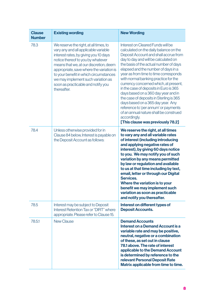| <b>Clause</b><br><b>Number</b> | <b>Existing wording</b>                                                                                                                                                                                                                                                                                                                                                                 | <b>New Wording</b>                                                                                                                                                                                                                                                                                                                                                                                                                                                                                                                                                                                                                                                              |
|--------------------------------|-----------------------------------------------------------------------------------------------------------------------------------------------------------------------------------------------------------------------------------------------------------------------------------------------------------------------------------------------------------------------------------------|---------------------------------------------------------------------------------------------------------------------------------------------------------------------------------------------------------------------------------------------------------------------------------------------------------------------------------------------------------------------------------------------------------------------------------------------------------------------------------------------------------------------------------------------------------------------------------------------------------------------------------------------------------------------------------|
| 78.3                           | We reserve the right, at all times, to<br>vary any and all applicable variable<br>interest rates, by giving you 10 days<br>notice thereof to you by whatever<br>means that we, at our discretion, deem<br>appropriate, save where the variation is<br>to your benefit in which circumstances<br>we may implement such variation as<br>soon as practicable and notify you<br>thereafter. | Interest on Cleared Funds will be<br>calculated on the daily balance on the<br>Deposit Account and shall accrue from<br>day to day and will be calculated on<br>the basis of the actual number of days<br>elapsed and the number of days in a<br>year as from time to time corresponds<br>with normal banking practice for the<br>currency concerned which, at present,<br>in the case of deposits in Euro is 365<br>days based on a 360 day year and in<br>the case of deposits in Sterling is 365<br>days based on a 365 day year. Any<br>reference to 'per annum' or payments<br>of an annual nature shall be construed<br>accordingly.<br>[This clause was previously 78.2] |
| 784                            | Unless otherwise provided for in<br>Clause 84 below, Interest is payable on<br>the Deposit Account as follows:                                                                                                                                                                                                                                                                          | We reserve the right, at all times<br>to vary any and all variable rates<br>of interest (including introducing<br>and applying negative rates of<br>interest), by giving 60 days notice<br>to you. We may notify you of such<br>variation by any means permitted<br>by law or regulation and available<br>to us at that time including by text,<br>email, letter or through our Digital<br>Services.<br>Where the variation is to your<br>benefit we may implement such<br>variation as soon as practicable<br>and notify you thereafter.                                                                                                                                       |
| 78.5                           | Interest may be subject to Deposit<br>Interest Retention Tax or "DIRT" where<br>appropriate. Please refer to Clause 15.                                                                                                                                                                                                                                                                 | Interest on different types of<br><b>Deposit Accounts.</b>                                                                                                                                                                                                                                                                                                                                                                                                                                                                                                                                                                                                                      |
| 78.5.1                         | <b>New Clause</b>                                                                                                                                                                                                                                                                                                                                                                       | <b>Demand Accounts</b><br>Interest on a Demand Account is a<br>variable rate and may be positive,<br>neutral, negative or a combination<br>of these, as set out in clause<br>78.1 above. The rate of interest<br>applicable to the Demand Account<br>is determined by reference to the<br>relevant Personal Deposit Rate<br>Matrix applicable from time to time.                                                                                                                                                                                                                                                                                                                |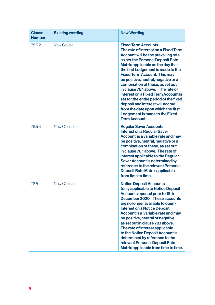| <b>Clause</b><br><b>Number</b> | <b>Existing wording</b> | <b>New Wording</b>                                                                                                                                                                                                                                                                                                                                                                                                                                                                                                                                                                                   |
|--------------------------------|-------------------------|------------------------------------------------------------------------------------------------------------------------------------------------------------------------------------------------------------------------------------------------------------------------------------------------------------------------------------------------------------------------------------------------------------------------------------------------------------------------------------------------------------------------------------------------------------------------------------------------------|
| 7852                           | New Clause              | <b>Fixed Term Accounts</b><br>The rate of interest on a Fixed Term<br>Account will be the prevailing rate<br>as per the Personal Deposit Rate<br>Matrix applicable on the day that<br>the first Lodgement is made to the<br><b>Fixed Term Account. This may</b><br>be positive, neutral, negative or a<br>combination of these, as set out<br>in clause 78.1 above. The rate of<br>interest on a Fixed Term Account is<br>set for the entire period of the fixed<br>deposit and interest will accrue<br>from the date upon which the first<br>Lodgement is made to the Fixed<br><b>Term Account.</b> |
| 78.5.3                         | New Clause              | <b>Regular Saver Accounts</b><br><b>Interest on a Regular Saver</b><br>Account is a variable rate and may<br>be positive, neutral, negative or a<br>combination of these, as set out<br>in clause 78.1 above. The rate of<br>interest applicable to the Regular<br><b>Saver Account is determined by</b><br>reference to the relevant Personal<br><b>Deposit Rate Matrix applicable</b><br>from time to time.                                                                                                                                                                                        |
| 78.5.4                         | New Clause              | <b>Notice Deposit Accounts</b><br>(only applicable to Notice Deposit<br>Accounts opened prior to 18th<br>December 2020. These accounts<br>are no longer available to open)<br><b>Interest on a Notice Deposit</b><br>Account is a variable rate and may<br>be positive, neutral or negative<br>as set out in clause 78.1 above.<br>The rate of interest applicable<br>to the Notice Deposit Account is<br>determined by reference to the<br>relevant Personal Deposit Rate<br>Matrix applicable from time to time.                                                                                   |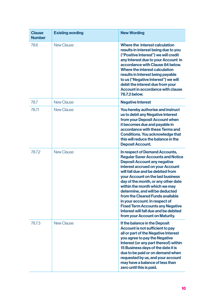| <b>Clause</b><br><b>Number</b> | <b>Existing wording</b> | <b>New Wording</b>                                                                                                                                                                                                                                                                                                                                                                                                                                                                                                                     |
|--------------------------------|-------------------------|----------------------------------------------------------------------------------------------------------------------------------------------------------------------------------------------------------------------------------------------------------------------------------------------------------------------------------------------------------------------------------------------------------------------------------------------------------------------------------------------------------------------------------------|
| 78.6                           | New Clause              | Where the interest calculation<br>results in interest being due to you<br>("Positive Interest") we will credit<br>any Interest due to your Account in<br>accordance with Clause 84 below.<br>Where the interest calculation<br>results in Interest being payable<br>to us ("Negative Interest") we will<br>debit the interest due from your<br>Account in accordance with clause<br>78.7.2 below.                                                                                                                                      |
| 78.7                           | <b>New Clause</b>       | <b>Negative Interest</b>                                                                                                                                                                                                                                                                                                                                                                                                                                                                                                               |
| 78.71                          | New Clause              | You hereby authorise and instruct<br>us to debit any Negative Interest<br>from your Deposit Account when<br>it becomes due and payable in<br>accordance with these Terms and<br>Conditions. You acknowledge that<br>this will reduce the balance in the<br><b>Deposit Account.</b>                                                                                                                                                                                                                                                     |
| 78.7.2                         | New Clause              | In respect of Demand Accounts,<br><b>Regular Saver Accounts and Notice</b><br><b>Deposit Account any negative</b><br>interest accrued on your Account<br>will fall due and be debited from<br>your Account on the last business<br>day of the month, or any other date<br>within the month which we may<br>determine, and will be deducted<br>from the Cleared Funds available<br>in your account. In respect of<br><b>Fixed Term Accounts any Negative</b><br>Interest will fall due and be debited<br>from your Account on Maturity. |
| 78.7.3                         | <b>New Clause</b>       | If the balance in the Deposit<br>Account is not sufficient to pay<br>all or part of the Negative Interest<br>you agree to pay the Negative<br>Interest (or any part thereof) within<br>15 Business days of the date it is<br>due to be paid or on demand when<br>requested by us, and your account<br>may have a balance of less than<br>zero until this is paid.                                                                                                                                                                      |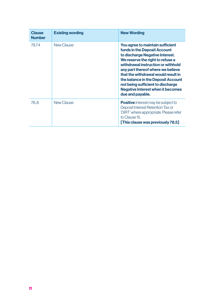| <b>Clause</b><br><b>Number</b> | <b>Existing wording</b> | <b>New Wording</b>                                                                                                                                                                                                                                                                                                                                                                                   |
|--------------------------------|-------------------------|------------------------------------------------------------------------------------------------------------------------------------------------------------------------------------------------------------------------------------------------------------------------------------------------------------------------------------------------------------------------------------------------------|
| 78.7.4                         | New Clause              | You agree to maintain sufficient<br>funds in the Deposit Account<br>to discharge Negative Interest.<br>We reserve the right to refuse a<br>withdrawal instruction or withhold<br>any part thereof where we believe<br>that the withdrawal would result in<br>the balance in the Deposit Account<br>not being sufficient to discharge<br><b>Negative Interest when it becomes</b><br>due and payable. |
| 78.8                           | New Clause              | <b>Positive</b> Interest may be subject to<br>Deposit Interest Retention Tax or<br>'DIRT' where appropriate. Please refer<br>to Clause 15<br>[This clause was previously 78.5]                                                                                                                                                                                                                       |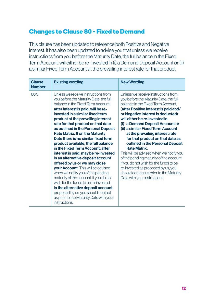#### **Changes to Clause 80 - Fixed to Demand**

This clause has been updated to reference both Positive and Negative Interest. It has also been updated to advise you that unless we receive instructions from you before the Maturity Date, the full balance in the Fixed Term Account, will either be re-invested in (i) a Demand Deposit Account or (ii) a similar Fixed Term Account at the prevailing interest rate for that product.

| Clause<br><b>Number</b> | <b>Existing wording</b>                                                                                                                                                                                                                                                                                                                                                                                                                                                                                                                                                                                                                                                                                                                                                                                                                                                                          | <b>New Wording</b>                                                                                                                                                                                                                                                                                                                                                                                                                                                                                                                                                                                                                                                                            |
|-------------------------|--------------------------------------------------------------------------------------------------------------------------------------------------------------------------------------------------------------------------------------------------------------------------------------------------------------------------------------------------------------------------------------------------------------------------------------------------------------------------------------------------------------------------------------------------------------------------------------------------------------------------------------------------------------------------------------------------------------------------------------------------------------------------------------------------------------------------------------------------------------------------------------------------|-----------------------------------------------------------------------------------------------------------------------------------------------------------------------------------------------------------------------------------------------------------------------------------------------------------------------------------------------------------------------------------------------------------------------------------------------------------------------------------------------------------------------------------------------------------------------------------------------------------------------------------------------------------------------------------------------|
| 80.3                    | Unless we receive instructions from<br>you before the Maturity Date, the full<br>balance in the Fixed Term Account.<br>after interest is paid, will be re-<br>invested in a similar fixed term<br>product at the prevailing interest<br>rate for that product on that date<br>as outlined in the Personal Deposit<br><b>Rate Matrix. If on the Maturity</b><br>Date there is no similar fixed term<br>product available, the full balance<br>in the Fixed Term Account, after<br>interest is paid, may be re-invested<br>in an alternative deposit account<br>offered by us or we may close<br>your Account. This will be advised<br>when we notify you of the pending<br>maturity of the account. If you do not<br>wish for the funds to be re-invested<br>in the alternative deposit account<br>proposed by us, you should contact<br>us prior to the Maturity Date with your<br>instructions. | Unless we receive instructions from<br>you before the Maturity Date, the full<br>balance in the Fixed Term Account.<br>(after Positive Interest is paid and/<br>or Negative Interest is deducted)<br>will either be re-invested in<br>(i) a Demand Deposit Account or<br>(ii) a similar Fixed Term Account<br>at the prevailing interest rate<br>for that product on that date as<br>outlined in the Personal Deposit<br><b>Rate Matrix.</b><br>This will be advised when we notify you<br>of the pending maturity of the account.<br>If you do not wish for the funds to be<br>re-invested as proposed by us, you<br>should contact us prior to the Maturity<br>Date with your instructions. |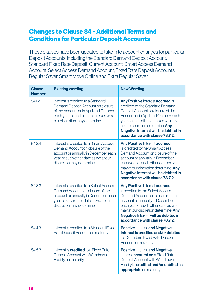## **Changes to Clause 84 - Additional Terms and Conditions for Particular Deposit Accounts**

These clauses have been updated to take in to account changes for particular Deposit Accounts, including the Standard Demand Deposit Account, Standard Fixed Rate Deposit, Current Account, Smart Access Demand Account, Select Access Demand Account, Fixed Rate Deposit Accounts, Regular Saver, Smart Move Online and Extra Regular Saver.

| <b>Clause</b><br><b>Number</b> | <b>Existing wording</b>                                                                                                                                                                      | <b>New Wording</b>                                                                                                                                                                                                                                                                                      |
|--------------------------------|----------------------------------------------------------------------------------------------------------------------------------------------------------------------------------------------|---------------------------------------------------------------------------------------------------------------------------------------------------------------------------------------------------------------------------------------------------------------------------------------------------------|
| 8412                           | Interest is credited to a Standard<br>Demand Deposit Account on closure<br>of the Account or in April and October<br>each year or such other dates as we at<br>our discretion may determine. | Any Positive Interest accrued is<br>credited to the Standard Demand<br>Deposit Account on closure of the<br>Account or in April and October each<br>year or such other dates as we may<br>at our discretion determine. Any<br>Negative Interest will be debited in<br>accordance with clause 78.7.2.    |
| 8424                           | Interest is credited to a Smart Access<br>Demand Account on closure of the<br>account or annually in December each<br>year or such other date as we at our<br>discretion may determine.      | <b>Any Positive Interest accrued</b><br>is credited to the Smart Access<br>Demand Account on closure of the<br>account or annually in December<br>each year or such other date as we<br>may at our discretion determine. Any<br>Negative Interest will be debited in<br>accordance with clause 78.7.2.  |
| 84.3.3                         | Interest is credited to a Select Access<br>Demand Account on closure of the<br>account or annually in December each<br>year or such other date as we at our<br>discretion may determine.     | <b>Any Positive Interest accrued</b><br>is credited to the Select Access<br>Demand Account on closure of the<br>account or annually in December<br>each year or such other date as we<br>may at our discretion determine. Any<br>Negative Interest will be debited in<br>accordance with clause 78.7.2. |
| 8443                           | Interest is credited to a Standard Fixed<br>Rate Deposit Account on maturity.                                                                                                                | <b>Positive Interest and Negative</b><br>Interest is credited and/or debited<br>to a Standard Fixed Rate Deposit<br>Account on maturity.                                                                                                                                                                |
| 8453                           | Interest is <b>credited</b> to a Fixed Rate<br>Deposit Account with Withdrawal<br>Facility on maturity.                                                                                      | <b>Positive Interest and Negative</b><br>Interest <b>accrued on</b> a Fixed Rate<br>Deposit Account with Withdrawal<br>Facility is credited and/or debited as<br>appropriate on maturity.                                                                                                               |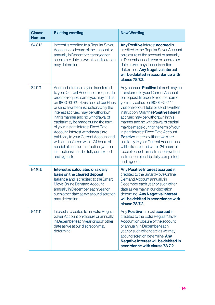| <b>Clause</b><br><b>Number</b> | <b>Existing wording</b>                                                                                                                                                                                                                                                                                                                                                                                                                                                                                                                                                                           | <b>New Wording</b>                                                                                                                                                                                                                                                                                                                                                                                                                                                                                                                                                                                                                                       |
|--------------------------------|---------------------------------------------------------------------------------------------------------------------------------------------------------------------------------------------------------------------------------------------------------------------------------------------------------------------------------------------------------------------------------------------------------------------------------------------------------------------------------------------------------------------------------------------------------------------------------------------------|----------------------------------------------------------------------------------------------------------------------------------------------------------------------------------------------------------------------------------------------------------------------------------------------------------------------------------------------------------------------------------------------------------------------------------------------------------------------------------------------------------------------------------------------------------------------------------------------------------------------------------------------------------|
| 84.8.13                        | Interest is credited to a Regular Saver<br>Account on closure of the account or<br>annually in December each year or<br>such other date as we at our discretion<br>may determine.                                                                                                                                                                                                                                                                                                                                                                                                                 | Any Positive Interest accrued is<br>credited to the Regular Saver Account<br>on closure of the account or annually<br>in December each year or such other<br>date as we may at our discretion<br>determine. Any Negative Interest<br>will be debited in accordance with<br>clause 78.7.2.                                                                                                                                                                                                                                                                                                                                                                |
| 84.9.3                         | Accrued interest may be transferred<br>to your Current Account on request. In<br>order to request same you may call us<br>on 1800 93 92 44, visit one of our Hubs<br>or send a written instruction. Only the<br>interest accrued may be withdrawn<br>in this manner and no withdrawal of<br>capital may be made during the term<br>of your Instant Interest Fixed Rate<br>Account. Interest withdrawals are<br>paid only to your Current Account and<br>will be transferred within 24 hours of<br>receipt of such an instruction (written<br>instructions must be fully completed<br>and signed). | Any accrued <b>Positive</b> Interest may be<br>transferred to your Current Account<br>on request. In order to request same<br>you may call us on 1800 93 92 44,<br>visit one of our Hubs or send a written<br>instruction. Only the <b>Positive</b> Interest<br>accrued may be withdrawn in this<br>manner and no withdrawal of capital<br>may be made during the term of your<br>Instant Interest Fixed Rate Account.<br><b>Positive</b> Interest withdrawals are<br>paid only to your Current Account and<br>will be transferred within 24 hours of<br>receipt of such an instruction (written<br>instructions must be fully completed<br>and signed). |
| 8410.6                         | Interest is calculated on a daily<br>basis on the cleared deposit<br><b>balance</b> and is credited to the Smart<br>Move Online Demand Account<br>annually in December each year or<br>such other date as we at our discretion<br>may determine.                                                                                                                                                                                                                                                                                                                                                  | Any Positive Interest accrued is<br>credited to the Smart Move Online<br>Demand Account annually in<br>December each year or such other<br>date as we may at our discretion<br>determine. Any Negative Interest<br>will be debited in accordance with<br>clause 78.7.2.                                                                                                                                                                                                                                                                                                                                                                                  |
| 84.11.11                       | Interest is credited to an Extra Regular<br>Saver Account on closure or annually<br>in December each year or such other<br>date as we at our discretion may<br>determine.                                                                                                                                                                                                                                                                                                                                                                                                                         | Any <b>Positive</b> Interest <b>accrued</b> is<br>credited to the Extra Regular Saver<br>Account on closure of the account<br>or annually in December each<br>year or such other date as we may<br>at our discretion determine. Any<br>Negative Interest will be debited in<br>accordance with clause 78.7.2.                                                                                                                                                                                                                                                                                                                                            |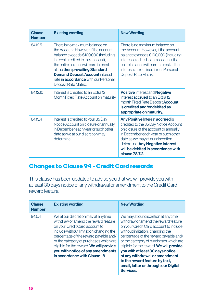| <b>Clause</b><br><b>Number</b> | <b>Existing wording</b>                                                                                                                                                                                                                                                                                                                   | <b>New Wording</b>                                                                                                                                                                                                                                                                               |
|--------------------------------|-------------------------------------------------------------------------------------------------------------------------------------------------------------------------------------------------------------------------------------------------------------------------------------------------------------------------------------------|--------------------------------------------------------------------------------------------------------------------------------------------------------------------------------------------------------------------------------------------------------------------------------------------------|
| 84.12.5                        | There is no maximum balance on<br>the Account. However, if the account<br>balance exceeds €100,000 (including<br>interest credited to the account).<br>the entire balance will earn interest<br>at the then prevailing Standard<br><b>Demand Deposit Account interest</b><br>rate in accordance with our Personal<br>Deposit Rate Matrix. | There is no maximum balance on<br>the Account. However, if the account<br>balance exceeds €100,000 (including<br>interest credited to the account), the<br>entire balance will earn interest at the<br>interest rate outlined in our Personal<br>Deposit Rate Matrix.                            |
| 841210                         | Interest is credited to an Extra 12<br>Month Fixed Rate Account on maturity.                                                                                                                                                                                                                                                              | <b>Positive Interest and Negative</b><br>Interest <b>accrued</b> to an Extra 12<br>month Fixed Rate Deposit <b>Account</b><br>is credited and/or debited as<br>appropriate on maturity.                                                                                                          |
| 84134                          | Interest is credited to your 35 Day<br>Notice Account on closure or annually<br>in December each year or such other<br>date as we at our discretion may<br>determine                                                                                                                                                                      | <b>Any Positive Interest accrued is</b><br>credited to the 35 Day Notice Account<br>on closure of the account or annually<br>in December each year or such other<br>date as we may at our discretion<br>determine. Any Negative Interest<br>will be debited in accordance with<br>clause 78.7.2. |

## **Changes to Clause 94 - Credit Card rewards**

This clause has been updated to advise you that we will provide you with at least 30 days notice of any withdrawal or amendment to the Credit Card reward feature.

| <b>Clause</b><br><b>Number</b> | <b>Existing wording</b>                                                                                                                                                                                                                                                                                                                                       | <b>New Wording</b>                                                                                                                                                                                                                                                                                                                                                                                                                                    |
|--------------------------------|---------------------------------------------------------------------------------------------------------------------------------------------------------------------------------------------------------------------------------------------------------------------------------------------------------------------------------------------------------------|-------------------------------------------------------------------------------------------------------------------------------------------------------------------------------------------------------------------------------------------------------------------------------------------------------------------------------------------------------------------------------------------------------------------------------------------------------|
| 94.5.4                         | We at our discretion may at anytime<br>withdraw or amend the reward feature<br>on your Credit Card account to<br>include without limitation changing the<br>percentage of the reward payable and/<br>or the category of purchases which are<br>eligible for the reward. We will provide<br>you with notice of any amendments<br>in accordance with Clause 18. | We may at our discretion at anytime<br>withdraw or amend the reward feature<br>on your Credit Card account to include<br>without limitation, changing the<br>percentage of the reward payable and/<br>or the category of purchases which are<br>eligible for the reward. We will provide<br>you with at least 30 days notice<br>of any withdrawal or amendment<br>to the reward feature by text,<br>email, letter or through our Digital<br>Services. |